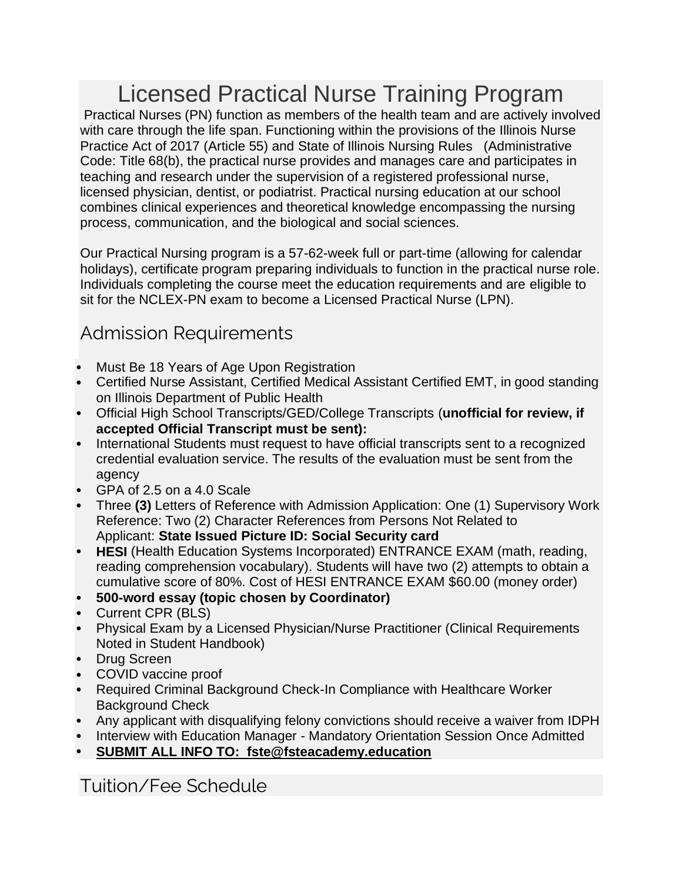# Licensed Practical Nurse Training Program

Practical Nurses (PN) function as members of the health team and are actively involved with care through the life span. Functioning within the provisions of the Illinois Nurse Practice Act of 2017 (Article 55) and State of Illinois Nursing Rules (Administrative Code: Title 68(b), the practical nurse provides and manages care and participates in teaching and research under the supervision of a registered professional nurse, licensed physician, dentist, or podiatrist. Practical nursing education at our school combines clinical experiences and theoretical knowledge encompassing the nursing process, communication, and the biological and social sciences.

Our Practical Nursing program is a 57-62-week full or part-time (allowing for calendar holidays), certificate program preparing individuals to function in the practical nurse role. Individuals completing the course meet the education requirements and are eligible to sit for the NCLEX-PN exam to become a Licensed Practical Nurse (LPN).

## [Admission Requirements](http://www.fsteacademy.education/nursing-training)

- Must Be 18 Years of Age Upon Registration
- Certified Nurse Assistant, Certified Medical Assistant Certified EMT, in good standing on Illinois Department of Public Health
- Official High School Transcripts/GED/College Transcripts (**unofficial for review, if accepted Official Transcript must be sent):**
- International Students must request to have official transcripts sent to a recognized credential evaluation service. The results of the evaluation must be sent from the agency
- GPA of 2.5 on a 4.0 Scale
- Three **(3)** Letters of Reference with Admission Application: One (1) Supervisory Work Reference: Two (2) Character References from Persons Not Related to Applicant: **State Issued Picture ID: Social Security card**
- **HESI** (Health Education Systems Incorporated) ENTRANCE EXAM (math, reading, reading comprehension vocabulary). Students will have two (2) attempts to obtain a cumulative score of 80%. Cost of HESI ENTRANCE EXAM \$60.00 (money order)
- **500-word essay (topic chosen by Coordinator)**
- Current CPR (BLS)
- Physical Exam by a Licensed Physician/Nurse Practitioner (Clinical Requirements Noted in Student Handbook)
- Drug Screen
- COVID vaccine proof
- Required Criminal Background Check-In Compliance with Healthcare Worker Background Check
- Any applicant with disqualifying felony convictions should receive a waiver from IDPH
- Interview with Education Manager Mandatory Orientation Session Once Admitted
- **SUBMIT ALL INFO TO: fste@fsteacademy.education**

## [Tuition/Fee Schedule](http://www.fsteacademy.education/nursing-training)